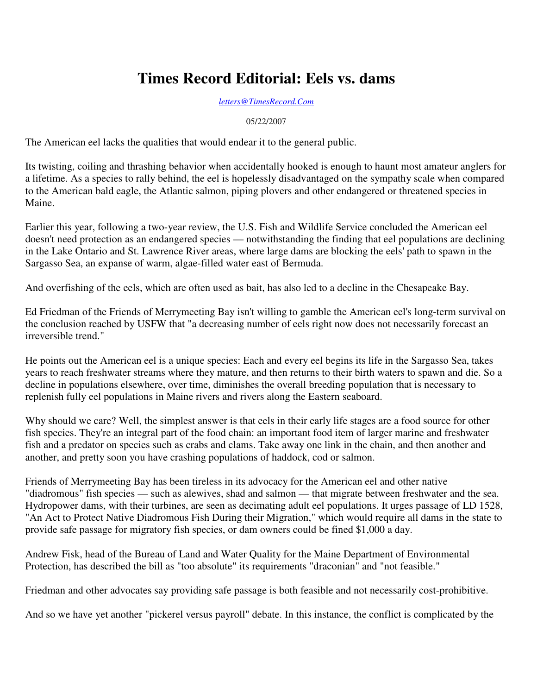## **Times Record Editorial: Eels vs. dams**

*letters@TimesRecord.Com*

05/22/2007

The American eel lacks the qualities that would endear it to the general public.

Its twisting, coiling and thrashing behavior when accidentally hooked is enough to haunt most amateur anglers for a lifetime. As a species to rally behind, the eel is hopelessly disadvantaged on the sympathy scale when compared to the American bald eagle, the Atlantic salmon, piping plovers and other endangered or threatened species in Maine.

Earlier this year, following a two-year review, the U.S. Fish and Wildlife Service concluded the American eel doesn't need protection as an endangered species — notwithstanding the finding that eel populations are declining in the Lake Ontario and St. Lawrence River areas, where large dams are blocking the eels' path to spawn in the Sargasso Sea, an expanse of warm, algae-filled water east of Bermuda.

And overfishing of the eels, which are often used as bait, has also led to a decline in the Chesapeake Bay.

Ed Friedman of the Friends of Merrymeeting Bay isn't willing to gamble the American eel's long-term survival on the conclusion reached by USFW that "a decreasing number of eels right now does not necessarily forecast an irreversible trend."

He points out the American eel is a unique species: Each and every eel begins its life in the Sargasso Sea, takes years to reach freshwater streams where they mature, and then returns to their birth waters to spawn and die. So a decline in populations elsewhere, over time, diminishes the overall breeding population that is necessary to replenish fully eel populations in Maine rivers and rivers along the Eastern seaboard.

Why should we care? Well, the simplest answer is that eels in their early life stages are a food source for other fish species. They're an integral part of the food chain: an important food item of larger marine and freshwater fish and a predator on species such as crabs and clams. Take away one link in the chain, and then another and another, and pretty soon you have crashing populations of haddock, cod or salmon.

Friends of Merrymeeting Bay has been tireless in its advocacy for the American eel and other native "diadromous" fish species — such as alewives, shad and salmon — that migrate between freshwater and the sea. Hydropower dams, with their turbines, are seen as decimating adult eel populations. It urges passage of LD 1528, "An Act to Protect Native Diadromous Fish During their Migration," which would require all dams in the state to provide safe passage for migratory fish species, or dam owners could be fined \$1,000 a day.

Andrew Fisk, head of the Bureau of Land and Water Quality for the Maine Department of Environmental Protection, has described the bill as "too absolute" its requirements "draconian" and "not feasible."

Friedman and other advocates say providing safe passage is both feasible and not necessarily cost-prohibitive.

And so we have yet another "pickerel versus payroll" debate. In this instance, the conflict is complicated by the